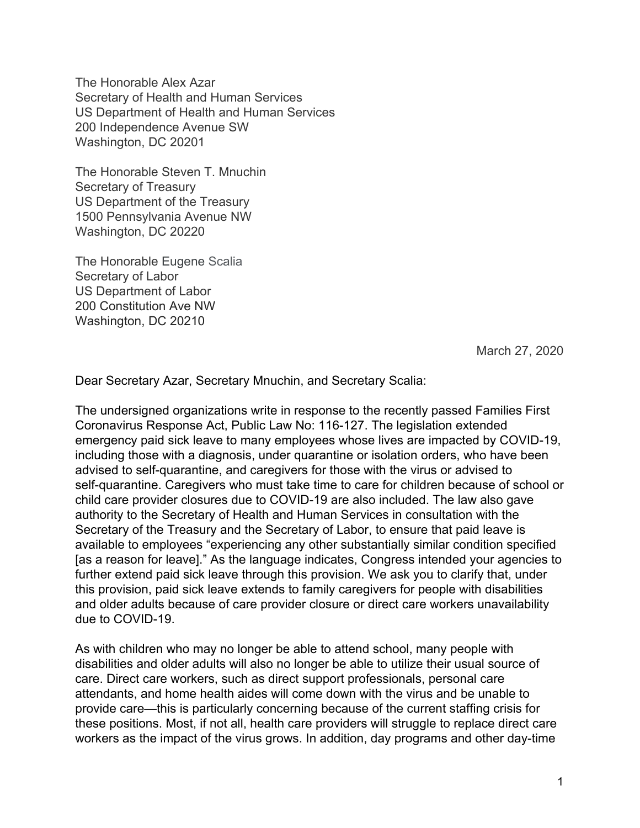The Honorable Alex Azar Secretary of Health and Human Services US Department of Health and Human Services 200 Independence Avenue SW Washington, DC 20201

The Honorable Steven T. Mnuchin Secretary of Treasury US Department of the Treasury 1500 Pennsylvania Avenue NW Washington, DC 20220

The Honorable Eugene Scalia Secretary of Labor US Department of Labor 200 Constitution Ave NW Washington, DC 20210

March 27, 2020

Dear Secretary Azar, Secretary Mnuchin, and Secretary Scalia:

The undersigned organizations write in response to the recently passed Families First Coronavirus Response Act, Public Law No: 116-127. The legislation extended emergency paid sick leave to many employees whose lives are impacted by COVID-19, including those with a diagnosis, under quarantine or isolation orders, who have been advised to self-quarantine, and caregivers for those with the virus or advised to self-quarantine. Caregivers who must take time to care for children because of school or child care provider closures due to COVID-19 are also included. The law also gave authority to the Secretary of Health and Human Services in consultation with the Secretary of the Treasury and the Secretary of Labor, to ensure that paid leave is available to employees "experiencing any other substantially similar condition specified [as a reason for leave]." As the language indicates, Congress intended your agencies to further extend paid sick leave through this provision. We ask you to clarify that, under this provision, paid sick leave extends to family caregivers for people with disabilities and older adults because of care provider closure or direct care workers unavailability due to COVID-19.

As with children who may no longer be able to attend school, many people with disabilities and older adults will also no longer be able to utilize their usual source of care. Direct care workers, such as direct support professionals, personal care attendants, and home health aides will come down with the virus and be unable to provide care—this is particularly concerning because of the current staffing crisis for these positions. Most, if not all, health care providers will struggle to replace direct care workers as the impact of the virus grows. In addition, day programs and other day-time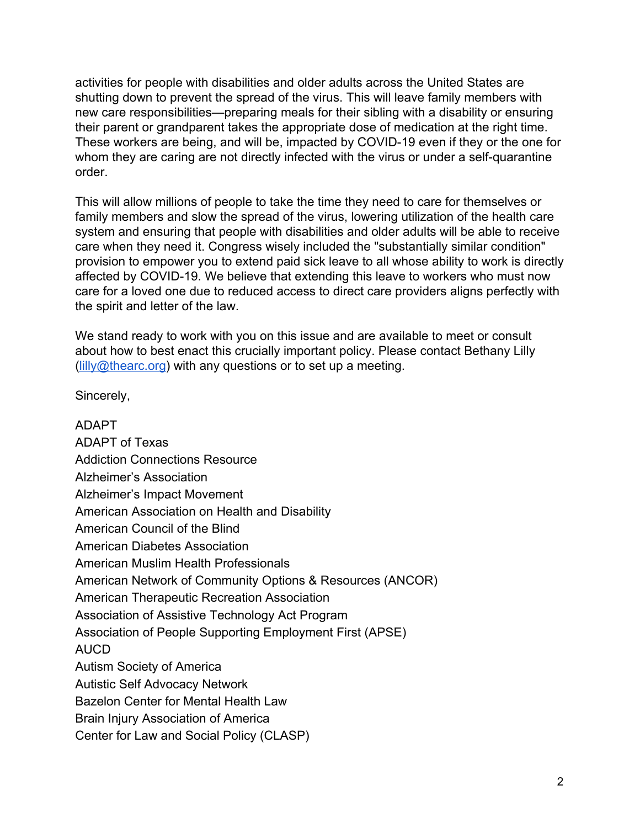activities for people with disabilities and older adults across the United States are shutting down to prevent the spread of the virus. This will leave family members with new care responsibilities—preparing meals for their sibling with a disability or ensuring their parent or grandparent takes the appropriate dose of medication at the right time. These workers are being, and will be, impacted by COVID-19 even if they or the one for whom they are caring are not directly infected with the virus or under a self-quarantine order.

This will allow millions of people to take the time they need to care for themselves or family members and slow the spread of the virus, lowering utilization of the health care system and ensuring that people with disabilities and older adults will be able to receive care when they need it. Congress wisely included the "substantially similar condition" provision to empower you to extend paid sick leave to all whose ability to work is directly affected by COVID-19. We believe that extending this leave to workers who must now care for a loved one due to reduced access to direct care providers aligns perfectly with the spirit and letter of the law.

We stand ready to work with you on this issue and are available to meet or consult about how to best enact this crucially important policy. Please contact Bethany Lilly  $\left(\frac{\text{lilly@thearc.org}}{\text{elly@thearc.org}}\right)$  with any questions or to set up a meeting.

Sincerely,

ADAPT ADAPT of Texas Addiction Connections Resource Alzheimer's Association Alzheimer's Impact Movement American Association on Health and Disability American Council of the Blind American Diabetes Association American Muslim Health Professionals American Network of Community Options & Resources (ANCOR) American Therapeutic Recreation Association Association of Assistive Technology Act Program Association of People Supporting Employment First (APSE) AUCD Autism Society of America Autistic Self Advocacy Network Bazelon Center for Mental Health Law Brain Injury Association of America Center for Law and Social Policy (CLASP)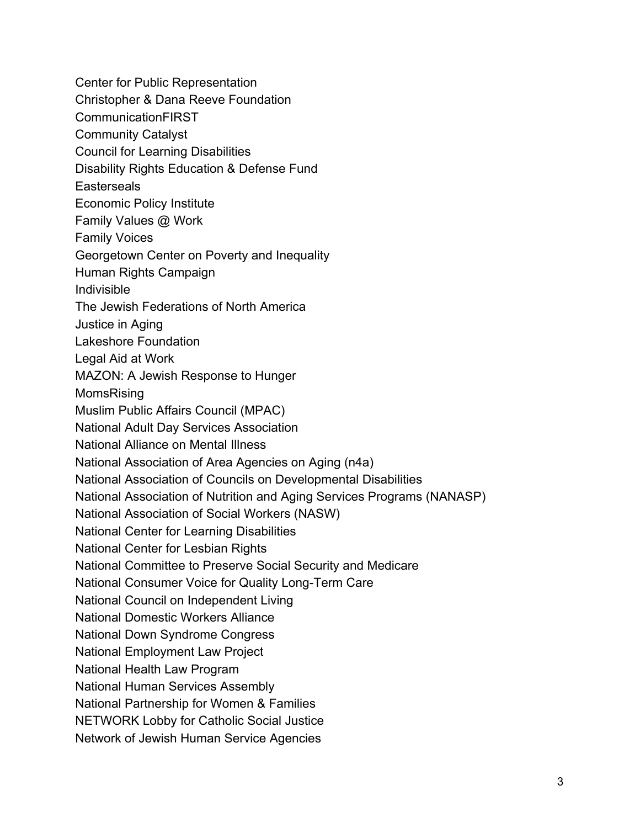Center for Public Representation Christopher & Dana Reeve Foundation CommunicationFIRST Community Catalyst Council for Learning Disabilities Disability Rights Education & Defense Fund **Easterseals** Economic Policy Institute Family Values @ Work Family Voices Georgetown Center on Poverty and Inequality Human Rights Campaign Indivisible The Jewish Federations of North America Justice in Aging Lakeshore Foundation Legal Aid at Work MAZON: A Jewish Response to Hunger MomsRising Muslim Public Affairs Council (MPAC) National Adult Day Services Association National Alliance on Mental Illness National Association of Area Agencies on Aging (n4a) National Association of Councils on Developmental Disabilities National Association of Nutrition and Aging Services Programs (NANASP) National Association of Social Workers (NASW) National Center for Learning Disabilities National Center for Lesbian Rights National Committee to Preserve Social Security and Medicare National Consumer Voice for Quality Long-Term Care National Council on Independent Living National Domestic Workers Alliance National Down Syndrome Congress National Employment Law Project National Health Law Program National Human Services Assembly National Partnership for Women & Families NETWORK Lobby for Catholic Social Justice Network of Jewish Human Service Agencies